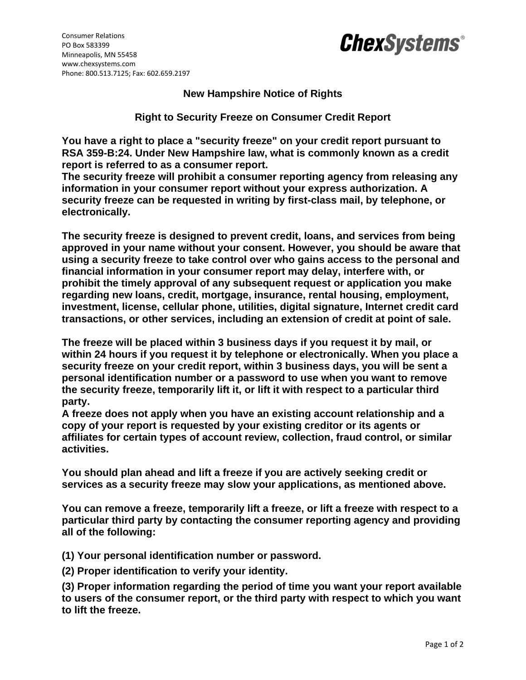

## **ChexSystems®**

## **New Hampshire Notice of Rights**

**Right to Security Freeze on Consumer Credit Report**

**You have a right to place a "security freeze" on your credit report pursuant to RSA 359-B:24. Under New Hampshire law, what is commonly known as a credit report is referred to as a consumer report.** 

**The security freeze will prohibit a consumer reporting agency from releasing any information in your consumer report without your express authorization. A security freeze can be requested in writing by first-class mail, by telephone, or electronically.** 

**The security freeze is designed to prevent credit, loans, and services from being approved in your name without your consent. However, you should be aware that using a security freeze to take control over who gains access to the personal and financial information in your consumer report may delay, interfere with, or prohibit the timely approval of any subsequent request or application you make regarding new loans, credit, mortgage, insurance, rental housing, employment, investment, license, cellular phone, utilities, digital signature, Internet credit card transactions, or other services, including an extension of credit at point of sale.** 

**The freeze will be placed within 3 business days if you request it by mail, or within 24 hours if you request it by telephone or electronically. When you place a security freeze on your credit report, within 3 business days, you will be sent a personal identification number or a password to use when you want to remove the security freeze, temporarily lift it, or lift it with respect to a particular third party.** 

**A freeze does not apply when you have an existing account relationship and a copy of your report is requested by your existing creditor or its agents or affiliates for certain types of account review, collection, fraud control, or similar activities.** 

**You should plan ahead and lift a freeze if you are actively seeking credit or services as a security freeze may slow your applications, as mentioned above.** 

**You can remove a freeze, temporarily lift a freeze, or lift a freeze with respect to a particular third party by contacting the consumer reporting agency and providing all of the following:** 

**(1) Your personal identification number or password.** 

**(2) Proper identification to verify your identity.** 

**(3) Proper information regarding the period of time you want your report available to users of the consumer report, or the third party with respect to which you want to lift the freeze.**